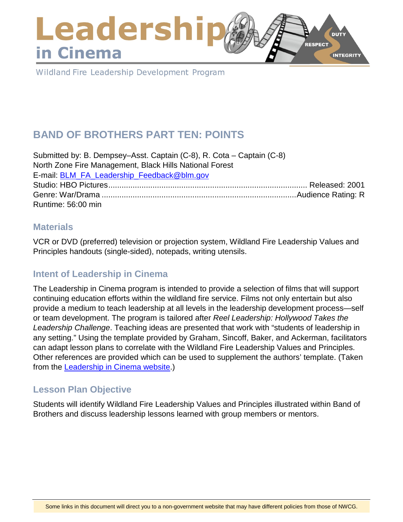## Leadershi **DUTY RESPECT** in Cinema **INTEGRITY**

Wildland Fire Leadership Development Program

# **BAND OF BROTHERS PART TEN: POINTS**

Submitted by: B. Dempsey–Asst. Captain (C-8), R. Cota – Captain (C-8) North Zone Fire Management, Black Hills National Forest E-mail: [BLM\\_FA\\_Leadership\\_Feedback@blm.gov](mailto:BLM_FA_Leadership_Feedback@blm.gov) Studio: HBO Pictures.......................................................................................... Released: 2001 Genre: War/Drama ........................................................................................Audience Rating: R Runtime: 56:00 min

#### **Materials**

VCR or DVD (preferred) television or projection system, Wildland Fire Leadership Values and Principles handouts (single-sided), notepads, writing utensils.

# **Intent of Leadership in Cinema**

The Leadership in Cinema program is intended to provide a selection of films that will support continuing education efforts within the wildland fire service. Films not only entertain but also provide a medium to teach leadership at all levels in the leadership development process—self or team development. The program is tailored after *Reel Leadership: Hollywood Takes the Leadership Challenge*. Teaching ideas are presented that work with "students of leadership in any setting." Using the template provided by Graham, Sincoff, Baker, and Ackerman, facilitators can adapt lesson plans to correlate with the Wildland Fire Leadership Values and Principles. Other references are provided which can be used to supplement the authors' template. (Taken from the [Leadership in Cinema website.](https://www.fireleadership.gov/))

# **Lesson Plan Objective**

Students will identify Wildland Fire Leadership Values and Principles illustrated within Band of Brothers and discuss leadership lessons learned with group members or mentors.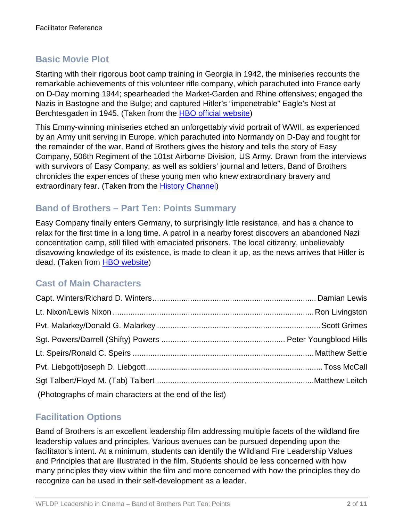# **Basic Movie Plot**

Starting with their rigorous boot camp training in Georgia in 1942, the miniseries recounts the remarkable achievements of this volunteer rifle company, which parachuted into France early on D-Day morning 1944; spearheaded the Market-Garden and Rhine offensives; engaged the Nazis in Bastogne and the Bulge; and captured Hitler's "impenetrable" Eagle's Nest at Berchtesgaden in 1945. (Taken from the [HBO official website\)](http://www.hbo.com/band/landing/currahee.html)

This Emmy-winning miniseries etched an unforgettably vivid portrait of WWII, as experienced by an Army unit serving in Europe, which parachuted into Normandy on D-Day and fought for the remainder of the war. Band of Brothers gives the history and tells the story of Easy Company, 506th Regiment of the 101st Airborne Division, US Army. Drawn from the interviews with survivors of Easy Company, as well as soldiers' journal and letters, Band of Brothers chronicles the experiences of these young men who knew extraordinary bravery and extraordinary fear. (Taken from the [History Channel\)](http://www.history.com/topics/d-day)

### **Band of Brothers – Part Ten: Points Summary**

Easy Company finally enters Germany, to surprisingly little resistance, and has a chance to relax for the first time in a long time. A patrol in a nearby forest discovers an abandoned Nazi concentration camp, still filled with emaciated prisoners. The local citizenry, unbelievably disavowing knowledge of its existence, is made to clean it up, as the news arrives that Hitler is dead. (Taken from [HBO website\)](http://www.hbo.com/band-of-brothers/episodes/0/09-why-we-fight/synopsis.html)

# **Cast of Main Characters**

| (Photographs of main characters at the end of the list) |  |
|---------------------------------------------------------|--|

# **Facilitation Options**

Band of Brothers is an excellent leadership film addressing multiple facets of the wildland fire leadership values and principles. Various avenues can be pursued depending upon the facilitator's intent. At a minimum, students can identify the Wildland Fire Leadership Values and Principles that are illustrated in the film. Students should be less concerned with how many principles they view within the film and more concerned with how the principles they do recognize can be used in their self-development as a leader.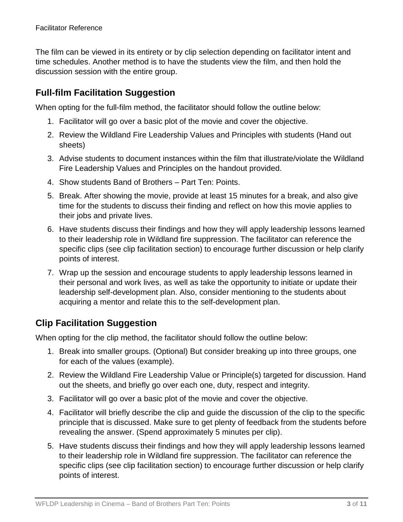The film can be viewed in its entirety or by clip selection depending on facilitator intent and time schedules. Another method is to have the students view the film, and then hold the discussion session with the entire group.

## **Full-film Facilitation Suggestion**

When opting for the full-film method, the facilitator should follow the outline below:

- 1. Facilitator will go over a basic plot of the movie and cover the objective.
- 2. Review the Wildland Fire Leadership Values and Principles with students (Hand out sheets)
- 3. Advise students to document instances within the film that illustrate/violate the Wildland Fire Leadership Values and Principles on the handout provided.
- 4. Show students Band of Brothers Part Ten: Points.
- 5. Break. After showing the movie, provide at least 15 minutes for a break, and also give time for the students to discuss their finding and reflect on how this movie applies to their jobs and private lives.
- 6. Have students discuss their findings and how they will apply leadership lessons learned to their leadership role in Wildland fire suppression. The facilitator can reference the specific clips (see clip facilitation section) to encourage further discussion or help clarify points of interest.
- 7. Wrap up the session and encourage students to apply leadership lessons learned in their personal and work lives, as well as take the opportunity to initiate or update their leadership self-development plan. Also, consider mentioning to the students about acquiring a mentor and relate this to the self-development plan.

# **Clip Facilitation Suggestion**

When opting for the clip method, the facilitator should follow the outline below:

- 1. Break into smaller groups. (Optional) But consider breaking up into three groups, one for each of the values (example).
- 2. Review the Wildland Fire Leadership Value or Principle(s) targeted for discussion. Hand out the sheets, and briefly go over each one, duty, respect and integrity.
- 3. Facilitator will go over a basic plot of the movie and cover the objective.
- 4. Facilitator will briefly describe the clip and guide the discussion of the clip to the specific principle that is discussed. Make sure to get plenty of feedback from the students before revealing the answer. (Spend approximately 5 minutes per clip).
- 5. Have students discuss their findings and how they will apply leadership lessons learned to their leadership role in Wildland fire suppression. The facilitator can reference the specific clips (see clip facilitation section) to encourage further discussion or help clarify points of interest.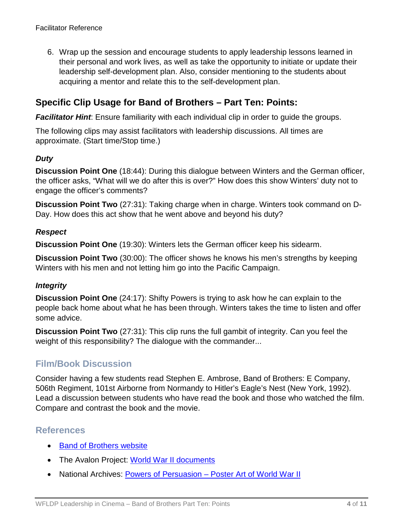6. Wrap up the session and encourage students to apply leadership lessons learned in their personal and work lives, as well as take the opportunity to initiate or update their leadership self-development plan. Also, consider mentioning to the students about acquiring a mentor and relate this to the self-development plan.

### **Specific Clip Usage for Band of Brothers – Part Ten: Points:**

**Facilitator Hint**: Ensure familiarity with each individual clip in order to guide the groups.

The following clips may assist facilitators with leadership discussions. All times are approximate. (Start time/Stop time.)

#### *Duty*

**Discussion Point One** (18:44): During this dialogue between Winters and the German officer, the officer asks, "What will we do after this is over?" How does this show Winters' duty not to engage the officer's comments?

**Discussion Point Two** (27:31): Taking charge when in charge. Winters took command on D-Day. How does this act show that he went above and beyond his duty?

#### *Respect*

**Discussion Point One** (19:30): Winters lets the German officer keep his sidearm.

**Discussion Point Two** (30:00): The officer shows he knows his men's strengths by keeping Winters with his men and not letting him go into the Pacific Campaign.

#### *Integrity*

**Discussion Point One** (24:17): Shifty Powers is trying to ask how he can explain to the people back home about what he has been through. Winters takes the time to listen and offer some advice.

**Discussion Point Two** (27:31): This clip runs the full gambit of integrity. Can you feel the weight of this responsibility? The dialogue with the commander...

#### **Film/Book Discussion**

Consider having a few students read Stephen E. Ambrose, Band of Brothers: E Company, 506th Regiment, 101st Airborne from Normandy to Hitler's Eagle's Nest (New York, 1992). Lead a discussion between students who have read the book and those who watched the film. Compare and contrast the book and the movie.

#### **References**

- [Band of Brothers website](http://www.hbo.com/band/landing/currahee.html)
- The Avalon Project: [World War II documents](http://avalon.law.yale.edu/subject_menus/wwii.asp)
- National Archives: Powers of Persuasion [Poster Art of World War II](https://www.archives.gov/education/lessons/wwii-posters)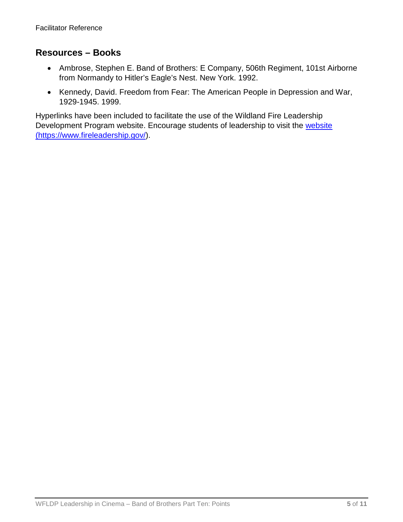#### **Resources – Books**

- Ambrose, Stephen E. Band of Brothers: E Company, 506th Regiment, 101st Airborne from Normandy to Hitler's Eagle's Nest. New York. 1992.
- Kennedy, David. Freedom from Fear: The American People in Depression and War, 1929-1945. 1999.

Hyperlinks have been included to facilitate the use of the Wildland Fire Leadership Development Program website. Encourage students of leadership to visit the website [\(https://www.fireleadership.gov/\)](https://www.fireleadership.gov/).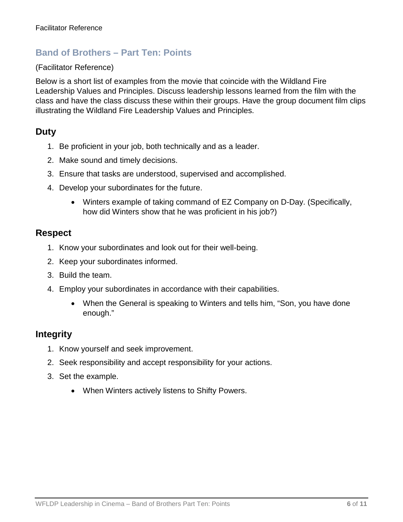### **Band of Brothers – Part Ten: Points**

#### (Facilitator Reference)

Below is a short list of examples from the movie that coincide with the Wildland Fire Leadership Values and Principles. Discuss leadership lessons learned from the film with the class and have the class discuss these within their groups. Have the group document film clips illustrating the Wildland Fire Leadership Values and Principles.

#### **Duty**

- 1. Be proficient in your job, both technically and as a leader.
- 2. Make sound and timely decisions.
- 3. Ensure that tasks are understood, supervised and accomplished.
- 4. Develop your subordinates for the future.
	- Winters example of taking command of EZ Company on D-Day. (Specifically, how did Winters show that he was proficient in his job?)

#### **Respect**

- 1. Know your subordinates and look out for their well-being.
- 2. Keep your subordinates informed.
- 3. Build the team.
- 4. Employ your subordinates in accordance with their capabilities.
	- When the General is speaking to Winters and tells him, "Son, you have done enough."

#### **Integrity**

- 1. Know yourself and seek improvement.
- 2. Seek responsibility and accept responsibility for your actions.
- 3. Set the example.
	- When Winters actively listens to Shifty Powers.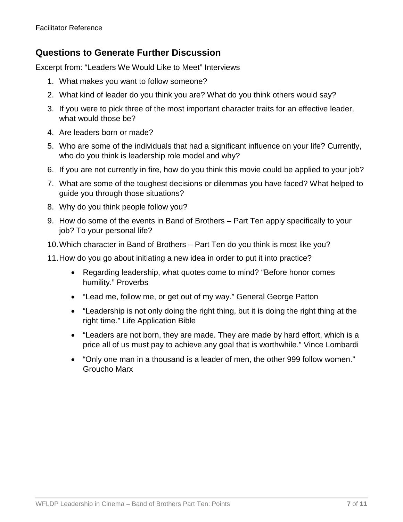### **Questions to Generate Further Discussion**

Excerpt from: "Leaders We Would Like to Meet" Interviews

- 1. What makes you want to follow someone?
- 2. What kind of leader do you think you are? What do you think others would say?
- 3. If you were to pick three of the most important character traits for an effective leader, what would those be?
- 4. Are leaders born or made?
- 5. Who are some of the individuals that had a significant influence on your life? Currently, who do you think is leadership role model and why?
- 6. If you are not currently in fire, how do you think this movie could be applied to your job?
- 7. What are some of the toughest decisions or dilemmas you have faced? What helped to guide you through those situations?
- 8. Why do you think people follow you?
- 9. How do some of the events in Band of Brothers Part Ten apply specifically to your job? To your personal life?
- 10.Which character in Band of Brothers Part Ten do you think is most like you?
- 11.How do you go about initiating a new idea in order to put it into practice?
	- Regarding leadership, what quotes come to mind? "Before honor comes humility." Proverbs
	- "Lead me, follow me, or get out of my way." General George Patton
	- "Leadership is not only doing the right thing, but it is doing the right thing at the right time." Life Application Bible
	- "Leaders are not born, they are made. They are made by hard effort, which is a price all of us must pay to achieve any goal that is worthwhile." Vince Lombardi
	- "Only one man in a thousand is a leader of men, the other 999 follow women." Groucho Marx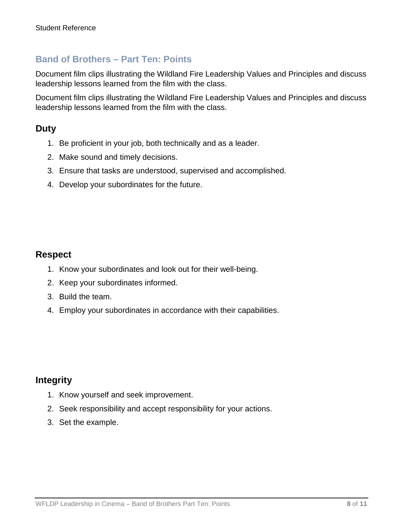### **Band of Brothers – Part Ten: Points**

Document film clips illustrating the Wildland Fire Leadership Values and Principles and discuss leadership lessons learned from the film with the class.

Document film clips illustrating the Wildland Fire Leadership Values and Principles and discuss leadership lessons learned from the film with the class.

### **Duty**

- 1. Be proficient in your job, both technically and as a leader.
- 2. Make sound and timely decisions.
- 3. Ensure that tasks are understood, supervised and accomplished.
- 4. Develop your subordinates for the future.

#### **Respect**

- 1. Know your subordinates and look out for their well-being.
- 2. Keep your subordinates informed.
- 3. Build the team.
- 4. Employ your subordinates in accordance with their capabilities.

#### **Integrity**

- 1. Know yourself and seek improvement.
- 2. Seek responsibility and accept responsibility for your actions.
- 3. Set the example.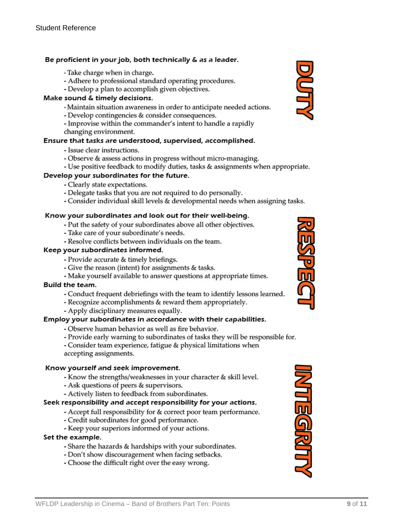#### Be proficient in your job, both technically & as a leader.

- Take charge when in charge.
- Adhere to professional standard operating procedures.
- Develop a plan to accomplish given objectives.

#### Make sound & timely decisions.

- Maintain situation awareness in order to anticipate needed actions.
- Develop contingencies & consider consequences.
- Improvise within the commander's intent to handle a rapidly
- changing environment.

#### Ensure that tasks are understood, supervised, accomplished.

- Issue clear instructions.
- Observe & assess actions in progress without micro-managing.
- Use positive feedback to modify duties, tasks & assignments when appropriate.

#### Develop your subordinates for the future.

- Clearly state expectations.
- Delegate tasks that you are not required to do personally.
- Consider individual skill levels & developmental needs when assigning tasks.

#### Know your subordinates and look out for their well-being.

- Put the safety of your subordinates above all other objectives.
- Take care of your subordinate's needs.
- Resolve conflicts between individuals on the team.

#### Keep your subordinates informed.

- Provide accurate & timely briefings.
- Give the reason (intent) for assignments & tasks.
- Make yourself available to answer questions at appropriate times.

#### Build the team.

- Conduct frequent debriefings with the team to identify lessons learned.
- Recognize accomplishments & reward them appropriately.
- Apply disciplinary measures equally.

#### Employ your subordinates in accordance with their capabilities.

- Observe human behavior as well as fire behavior.
- Provide early warning to subordinates of tasks they will be responsible for.

- Consider team experience, fatigue & physical limitations when accepting assignments.

#### Know yourself and seek improvement.

- Know the strengths/weaknesses in your character & skill level.
- Ask questions of peers & supervisors.
- Actively listen to feedback from subordinates.

#### Seek responsibility and accept responsibility for your actions.

- Accept full responsibility for & correct poor team performance.
- Credit subordinates for good performance.
- Keep your superiors informed of your actions.

#### Set the example.

- Share the hazards & hardships with your subordinates.
- Don't show discouragement when facing setbacks.
- Choose the difficult right over the easy wrong.





**MTEGRITT** 

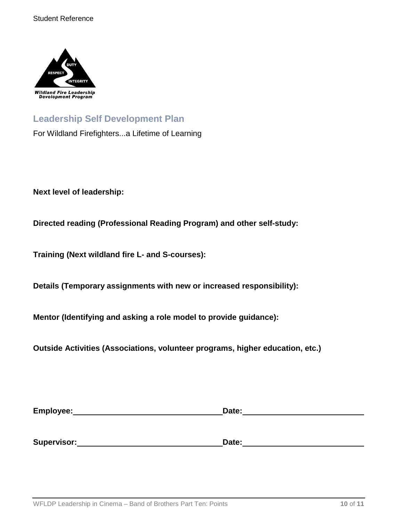

# **Leadership Self Development Plan**

For Wildland Firefighters...a Lifetime of Learning

**Next level of leadership:**

**Directed reading (Professional Reading Program) and other self-study:**

**Training (Next wildland fire L- and S-courses):**

**Details (Temporary assignments with new or increased responsibility):**

**Mentor (Identifying and asking a role model to provide guidance):**

**Outside Activities (Associations, volunteer programs, higher education, etc.)**

| Employee:   | Date: |  |
|-------------|-------|--|
|             |       |  |
|             |       |  |
| Supervisor: | Date: |  |